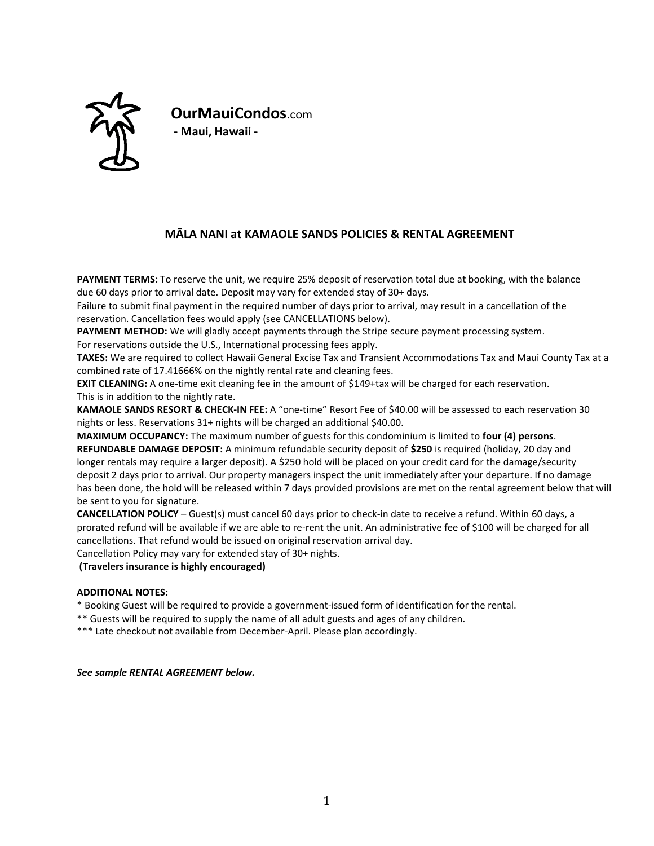

**OurMauiCondos**.com **- Maui, Hawaii -**

# **MĀLA NANI at KAMAOLE SANDS POLICIES & RENTAL AGREEMENT**

**PAYMENT TERMS:** To reserve the unit, we require 25% deposit of reservation total due at booking, with the balance due 60 days prior to arrival date. Deposit may vary for extended stay of 30+ days.

Failure to submit final payment in the required number of days prior to arrival, may result in a cancellation of the reservation. Cancellation fees would apply (see CANCELLATIONS below).

**PAYMENT METHOD:** We will gladly accept payments through the Stripe secure payment processing system. For reservations outside the U.S., International processing fees apply.

**TAXES:** We are required to collect Hawaii General Excise Tax and Transient Accommodations Tax and Maui County Tax at a combined rate of 17.41666% on the nightly rental rate and cleaning fees.

**EXIT CLEANING:** A one-time exit cleaning fee in the amount of \$149+tax will be charged for each reservation. This is in addition to the nightly rate.

**KAMAOLE SANDS RESORT & CHECK-IN FEE:** A "one-time" Resort Fee of \$40.00 will be assessed to each reservation 30 nights or less. Reservations 31+ nights will be charged an additional \$40.00.

**MAXIMUM OCCUPANCY:** The maximum number of guests for this condominium is limited to **four (4) persons**.

**REFUNDABLE DAMAGE DEPOSIT:** A minimum refundable security deposit of **\$250** is required (holiday, 20 day and longer rentals may require a larger deposit). A \$250 hold will be placed on your credit card for the damage/security deposit 2 days prior to arrival. Our property managers inspect the unit immediately after your departure. If no damage has been done, the hold will be released within 7 days provided provisions are met on the rental agreement below that will be sent to you for signature.

**CANCELLATION POLICY** – Guest(s) must cancel 60 days prior to check-in date to receive a refund. Within 60 days, a prorated refund will be available if we are able to re-rent the unit. An administrative fee of \$100 will be charged for all cancellations. That refund would be issued on original reservation arrival day.

Cancellation Policy may vary for extended stay of 30+ nights.

**(Travelers insurance is highly encouraged)**

## **ADDITIONAL NOTES:**

\* Booking Guest will be required to provide a government-issued form of identification for the rental.

\*\* Guests will be required to supply the name of all adult guests and ages of any children.

\*\*\* Late checkout not available from December-April. Please plan accordingly.

*See sample RENTAL AGREEMENT below.*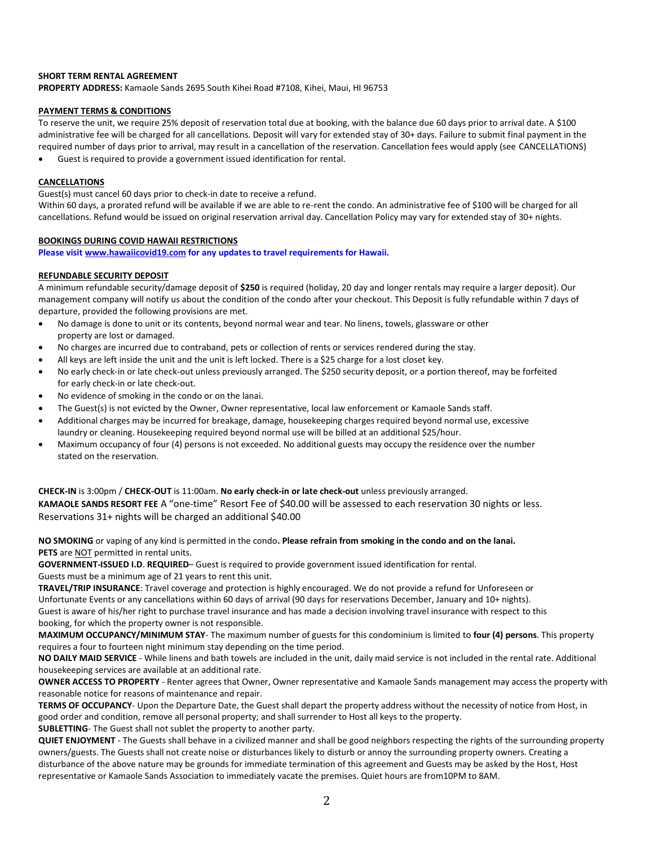### **SHORT TERM RENTAL AGREEMENT**

**PROPERTY ADDRESS:** Kamaole Sands 2695 South Kihei Road #7108, Kihei, Maui, HI 96753

#### **PAYMENT TERMS & CONDITIONS**

To reserve the unit, we require 25% deposit of reservation total due at booking, with the balance due 60 days prior to arrival date. A \$100 administrative fee will be charged for all cancellations. Deposit will vary for extended stay of 30+ days. Failure to submit final payment in the required number of days prior to arrival, may result in a cancellation of the reservation. Cancellation fees would apply (see CANCELLATIONS)

• Guest is required to provide a government issued identification for rental.

#### **CANCELLATIONS**

Guest(s) must cancel 60 days prior to check-in date to receive a refund.

Within 60 days, a prorated refund will be available if we are able to re-rent the condo. An administrative fee of \$100 will be charged for all cancellations. Refund would be issued on original reservation arrival day. Cancellation Policy may vary for extended stay of 30+ nights.

#### **BOOKINGS DURING COVID HAWAII RESTRICTIONS**

**Please visi[t www.hawaiicovid19.com](http://www.hawaiicovid19.com/) for any updates to travel requirements for Hawaii.**

#### **REFUNDABLE SECURITY DEPOSIT**

A minimum refundable security/damage deposit of **\$250** is required (holiday, 20 day and longer rentals may require a larger deposit). Our management company will notify us about the condition of the condo after your checkout. This Deposit is fully refundable within 7 days of departure, provided the following provisions are met.

- No damage is done to unit or its contents, beyond normal wear and tear. No linens, towels, glassware or other property are lost or damaged.
- No charges are incurred due to contraband, pets or collection of rents or services rendered during the stay.
- All keys are left inside the unit and the unit is left locked. There is a \$25 charge for a lost closet key.
- No early check-in or late check-out unless previously arranged. The \$250 security deposit, or a portion thereof, may be forfeited for early check-in or late check-out.
- No evidence of smoking in the condo or on the lanai.
- The Guest(s) is not evicted by the Owner, Owner representative, local law enforcement or Kamaole Sands staff.
- Additional charges may be incurred for breakage, damage, housekeeping charges required beyond normal use, excessive laundry or cleaning. Housekeeping required beyond normal use will be billed at an additional \$25/hour.
- Maximum occupancy of four (4) persons is not exceeded. No additional guests may occupy the residence over the number stated on the reservation.

**CHECK-IN** is 3:00pm / **CHECK-OUT** is 11:00am. **No early check-in or late check-out** unless previously arranged. **KAMAOLE SANDS RESORT FEE** A "one-time" Resort Fee of \$40.00 will be assessed to each reservation 30 nights or less. Reservations 31+ nights will be charged an additional \$40.00

**NO SMOKING** or vaping of any kind is permitted in the condo**. Please refrain from smoking in the condo and on the lanai. PETS** are NOT permitted in rental units.

**GOVERNMENT-ISSUED I.D**. **REQUIRED**– Guest is required to provide government issued identification for rental. Guests must be a minimum age of 21 years to rent this unit.

**TRAVEL/TRIP INSURANCE**: Travel coverage and protection is highly encouraged. We do not provide a refund for Unforeseen or Unfortunate Events or any cancellations within 60 days of arrival (90 days for reservations December, January and 10+ nights). Guest is aware of his/her right to purchase travel insurance and has made a decision involving travel insurance with respect to this booking, for which the property owner is not responsible.

**MAXIMUM OCCUPANCY/MINIMUM STAY**- The maximum number of guests for this condominium is limited to **four (4) persons**. This property requires a four to fourteen night minimum stay depending on the time period.

**NO DAILY MAID SERVICE** - While linens and bath towels are included in the unit, daily maid service is not included in the rental rate. Additional housekeeping services are available at an additional rate.

**OWNER ACCESS TO PROPERTY** - Renter agrees that Owner, Owner representative and Kamaole Sands management may access the property with reasonable notice for reasons of maintenance and repair.

**TERMS OF OCCUPANCY**- Upon the Departure Date, the Guest shall depart the property address without the necessity of notice from Host, in good order and condition, remove all personal property; and shall surrender to Host all keys to the property.

**SUBLETTING**- The Guest shall not sublet the property to another party.

**QUIET ENJOYMENT** - The Guests shall behave in a civilized manner and shall be good neighbors respecting the rights of the surrounding property owners/guests. The Guests shall not create noise or disturbances likely to disturb or annoy the surrounding property owners. Creating a disturbance of the above nature may be grounds for immediate termination of this agreement and Guests may be asked by the Host, Host representative or Kamaole Sands Association to immediately vacate the premises. Quiet hours are from10PM to 8AM.